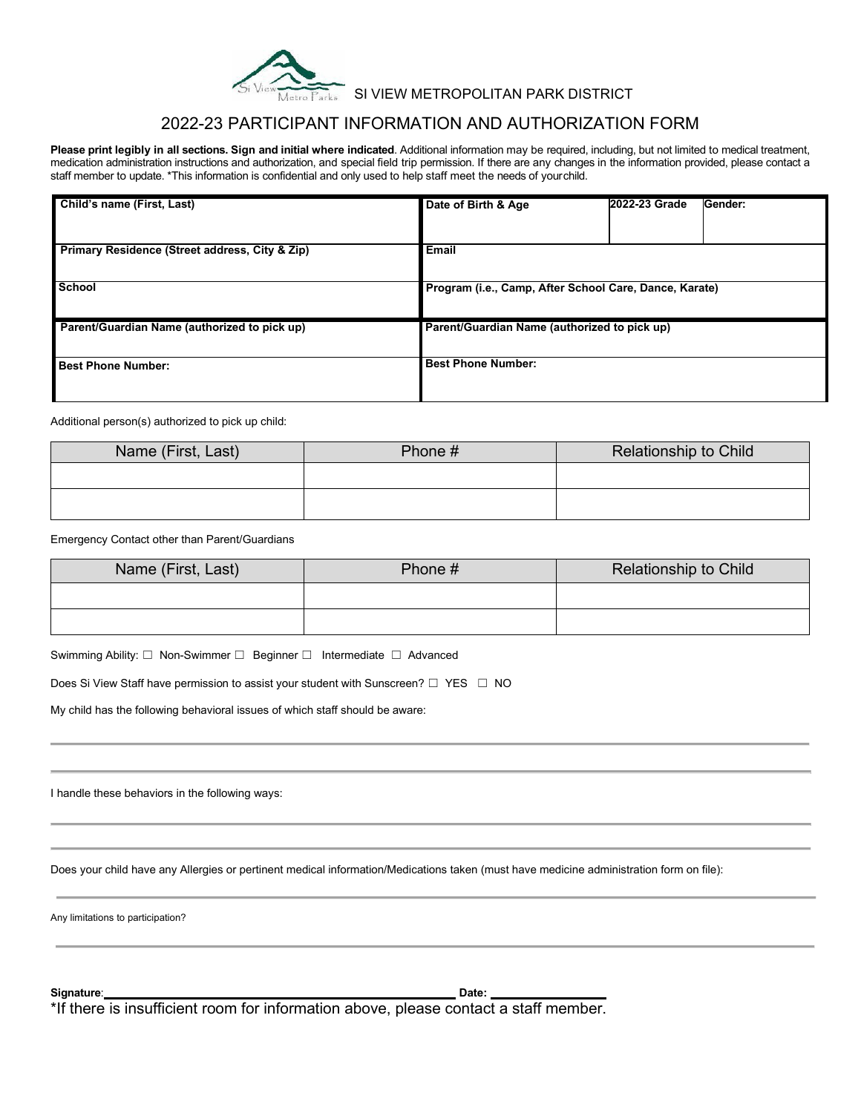

## SI VIEW METROPOLITAN PARK DISTRICT

# 2022-23 PARTICIPANT INFORMATION AND AUTHORIZATION FORM

**Please print legibly in all sections. Sign and initial where indicated**. Additional information may be required, including, but not limited to medical treatment, medication administration instructions and authorization, and special field trip permission. If there are any changes in the information provided, please contact a staff member to update. \*This information is confidential and only used to help staff meet the needs of yourchild.

| Child's name (First, Last)                     | Date of Birth & Age                                    | 2022-23 Grade | Gender: |
|------------------------------------------------|--------------------------------------------------------|---------------|---------|
| Primary Residence (Street address, City & Zip) | <b>Email</b>                                           |               |         |
|                                                |                                                        |               |         |
| <b>School</b>                                  | Program (i.e., Camp, After School Care, Dance, Karate) |               |         |
| Parent/Guardian Name (authorized to pick up)   | Parent/Guardian Name (authorized to pick up)           |               |         |
| <b>Best Phone Number:</b>                      | <b>Best Phone Number:</b>                              |               |         |

Additional person(s) authorized to pick up child:

| Name (First, Last) | Phone # | Relationship to Child |
|--------------------|---------|-----------------------|
|                    |         |                       |
|                    |         |                       |

Emergency Contact other than Parent/Guardians

| Name (First, Last) | Phone # | <b>Relationship to Child</b> |
|--------------------|---------|------------------------------|
|                    |         |                              |
|                    |         |                              |

Swimming Ability: □ Non-Swimmer □ Beginner □ Intermediate □ Advanced

Does Si View Staff have permission to assist your student with Sunscreen? □ YES □ NO

My child has the following behavioral issues of which staff should be aware:

I handle these behaviors in the following ways:

Does your child have any Allergies or pertinent medical information/Medications taken (must have medicine administration form on file):

Any limitations to participation?

**Signature**: \_\_\_\_\_\_\_\_\_\_\_\_\_\_\_\_\_\_\_\_\_\_\_\_\_\_\_\_\_\_\_\_\_\_\_\_\_\_\_\_\_\_\_\_\_\_\_\_\_\_\_\_\_ **Date: \_\_\_\_\_\_\_\_\_\_\_\_\_\_\_\_\_\_**

\*If there is insufficient room for information above, please contact a staff member.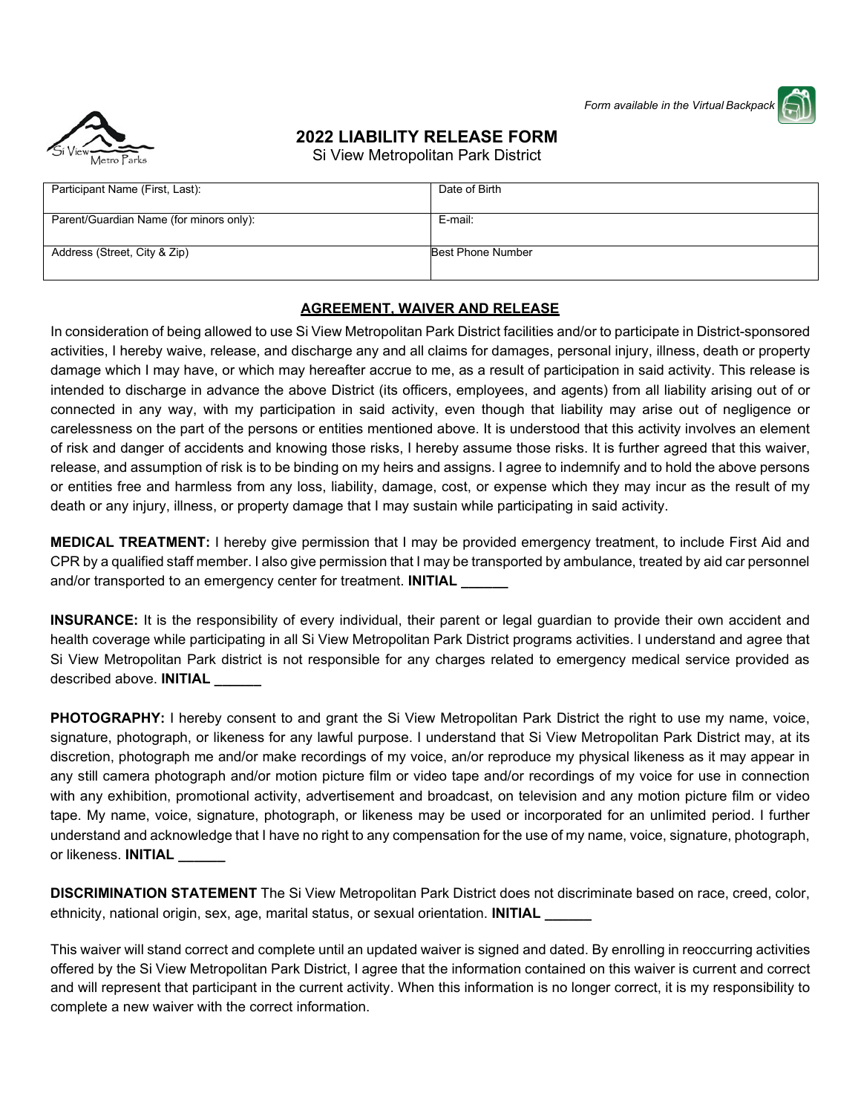*Form available in the Virtual Backpack* 



# **2022 LIABILITY RELEASE FORM**

Si View Metropolitan Park District

| Participant Name (First, Last):         | Date of Birth     |
|-----------------------------------------|-------------------|
|                                         |                   |
|                                         |                   |
| Parent/Guardian Name (for minors only): | E-mail:           |
|                                         |                   |
|                                         |                   |
| Address (Street, City & Zip)            | Best Phone Number |
|                                         |                   |
|                                         |                   |

#### **AGREEMENT, WAIVER AND RELEASE**

In consideration of being allowed to use Si View Metropolitan Park District facilities and/or to participate in District-sponsored activities, I hereby waive, release, and discharge any and all claims for damages, personal injury, illness, death or property damage which I may have, or which may hereafter accrue to me, as a result of participation in said activity. This release is intended to discharge in advance the above District (its officers, employees, and agents) from all liability arising out of or connected in any way, with my participation in said activity, even though that liability may arise out of negligence or carelessness on the part of the persons or entities mentioned above. It is understood that this activity involves an element of risk and danger of accidents and knowing those risks, I hereby assume those risks. It is further agreed that this waiver, release, and assumption of risk is to be binding on my heirs and assigns. I agree to indemnify and to hold the above persons or entities free and harmless from any loss, liability, damage, cost, or expense which they may incur as the result of my death or any injury, illness, or property damage that I may sustain while participating in said activity.

**MEDICAL TREATMENT:** I hereby give permission that I may be provided emergency treatment, to include First Aid and CPR by a qualified staff member. I also give permission that I may be transported by ambulance, treated by aid car personnel and/or transported to an emergency center for treatment. **INITIAL** 

**INSURANCE:** It is the responsibility of every individual, their parent or legal guardian to provide their own accident and health coverage while participating in all Si View Metropolitan Park District programs activities. I understand and agree that Si View Metropolitan Park district is not responsible for any charges related to emergency medical service provided as described above. **INITIAL \_\_\_\_\_\_**

**PHOTOGRAPHY:** I hereby consent to and grant the Si View Metropolitan Park District the right to use my name, voice, signature, photograph, or likeness for any lawful purpose. I understand that Si View Metropolitan Park District may, at its discretion, photograph me and/or make recordings of my voice, an/or reproduce my physical likeness as it may appear in any still camera photograph and/or motion picture film or video tape and/or recordings of my voice for use in connection with any exhibition, promotional activity, advertisement and broadcast, on television and any motion picture film or video tape. My name, voice, signature, photograph, or likeness may be used or incorporated for an unlimited period. I further understand and acknowledge that I have no right to any compensation for the use of my name, voice, signature, photograph, or likeness. **INITIAL \_\_\_\_\_\_**

**DISCRIMINATION STATEMENT** The Si View Metropolitan Park District does not discriminate based on race, creed, color, ethnicity, national origin, sex, age, marital status, or sexual orientation. **INITIAL \_\_\_\_\_\_**

This waiver will stand correct and complete until an updated waiver is signed and dated. By enrolling in reoccurring activities offered by the Si View Metropolitan Park District, I agree that the information contained on this waiver is current and correct and will represent that participant in the current activity. When this information is no longer correct, it is my responsibility to complete a new waiver with the correct information.